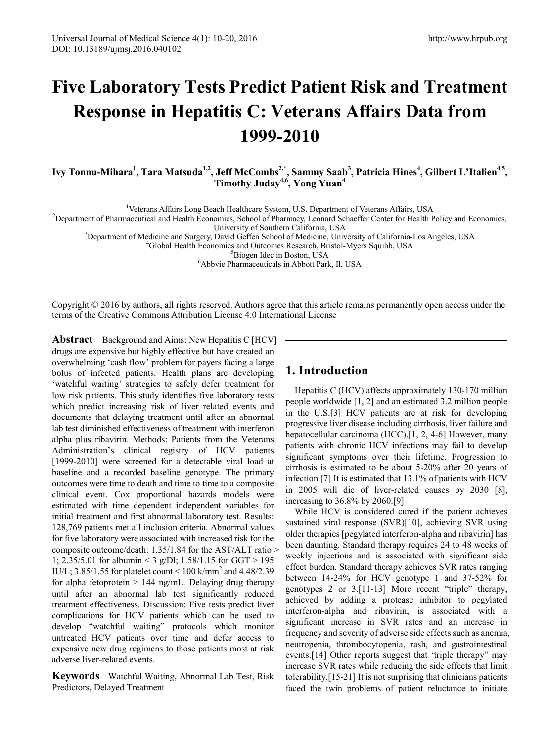# **Five Laboratory Tests Predict Patient Risk and Treatment Response in Hepatitis C: Veterans Affairs Data from 1999-2010**

Ivy Tonnu-Mihara<sup>1</sup>, Tara Matsuda<sup>1,2</sup>, Jeff McCombs<sup>2,\*</sup>, Sammy Saab<sup>3</sup>, Patricia Hines<sup>4</sup>, Gilbert L'Italien<sup>4,5</sup>, **Timothy Juday4,6 , Yong Yuan4**

<sup>1</sup>Veterans Affairs Long Beach Healthcare System, U.S. Department of Veterans Affairs, USA<br><sup>2</sup>Department of Pharmaceutical and Health Economics, School of Pharmacy, Leonard Schoeffer Center for Health 1

<sup>2</sup>Department of Pharmaceutical and Health Economics, School of Pharmacy, Leonard Schaeffer Center for Health Policy and Economics,<br>University of Southern California, USA

University of Southern California, USA<br><sup>3</sup>Department of Medicine and Surgery David Goffen Sebool of Medicine, Univ Department of Medicine and Surgery, David Geffen School of Medicine, University of California-Los Angeles, USA <sup>4</sup>

<sup>4</sup>Global Health Economics and Outcomes Research, Bristol-Myers Squibb, USA

<sup>5</sup>Biogen Idec in Boston, USA

Abbvie Pharmaceuticals in Abbott Park, Il, USA

Copyright © 2016 by authors, all rights reserved. Authors agree that this article remains permanently open access under the terms of the Creative Commons Attribution License 4.0 International License

**Abstract** Background and Aims: New Hepatitis C [HCV] drugs are expensive but highly effective but have created an overwhelming 'cash flow' problem for payers facing a large bolus of infected patients. Health plans are developing 'watchful waiting' strategies to safely defer treatment for low risk patients. This study identifies five laboratory tests which predict increasing risk of liver related events and documents that delaying treatment until after an abnormal lab test diminished effectiveness of treatment with interferon alpha plus ribavirin. Methods: Patients from the Veterans Administration's clinical registry of HCV patients [1999-2010] were screened for a detectable viral load at baseline and a recorded baseline genotype. The primary outcomes were time to death and time to time to a composite clinical event. Cox proportional hazards models were estimated with time dependent independent variables for initial treatment and first abnormal laboratory test. Results: 128,769 patients met all inclusion criteria. Abnormal values for five laboratory were associated with increased risk for the composite outcome/death: 1.35/1.84 for the AST/ALT ratio > 1; 2.35/5.01 for albumin < 3 g/Dl; 1.58/1.15 for GGT > 195 IU/L; 3.85/1.55 for platelet count <  $100 \text{ k/mm}^2$  and 4.48/2.39 for alpha fetoprotein > 144 ng/mL. Delaying drug therapy until after an abnormal lab test significantly reduced treatment effectiveness. Discussion: Five tests predict liver complications for HCV patients which can be used to develop "watchful waiting" protocols which monitor untreated HCV patients over time and defer access to expensive new drug regimens to those patients most at risk adverse liver-related events.

**Keywords** Watchful Waiting, Abnormal Lab Test, Risk Predictors, Delayed Treatment

## **1. Introduction**

Hepatitis C (HCV) affects approximately 130-170 million people worldwide [1, 2] and an estimated 3.2 million people in the U.S.[3] HCV patients are at risk for developing progressive liver disease including cirrhosis, liver failure and hepatocellular carcinoma (HCC).<sup>[1, 2, 4-6]</sup> However, many patients with chronic HCV infections may fail to develop significant symptoms over their lifetime. Progression to cirrhosis is estimated to be about 5-20% after 20 years of infection.[7] It is estimated that 13.1% of patients with HCV in 2005 will die of liver-related causes by 2030 [8], increasing to 36.8% by 2060.[9]

While HCV is considered cured if the patient achieves sustained viral response (SVR)[10], achieving SVR using older therapies [pegylated interferon-alpha and ribavirin] has been daunting. Standard therapy requires 24 to 48 weeks of weekly injections and is associated with significant side effect burden. Standard therapy achieves SVR rates ranging between 14-24% for HCV genotype 1 and 37-52% for genotypes 2 or 3.[11-13] More recent "triple" therapy, achieved by adding a protease inhibitor to pegylated interferon-alpha and ribavirin, is associated with a significant increase in SVR rates and an increase in frequency and severity of adverse side effects such as anemia, neutropenia, thrombocytopenia, rash, and gastrointestinal events.[14] Other reports suggest that 'triple therapy" may increase SVR rates while reducing the side effects that limit tolerability.[15-21] It is not surprising that clinicians patients faced the twin problems of patient reluctance to initiate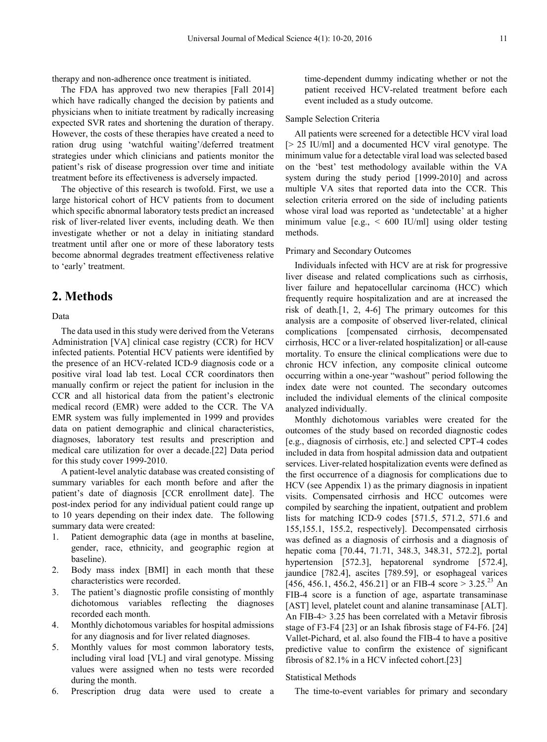therapy and non-adherence once treatment is initiated.

The FDA has approved two new therapies [Fall 2014] which have radically changed the decision by patients and physicians when to initiate treatment by radically increasing expected SVR rates and shortening the duration of therapy. However, the costs of these therapies have created a need to ration drug using 'watchful waiting'/deferred treatment strategies under which clinicians and patients monitor the patient's risk of disease progression over time and initiate treatment before its effectiveness is adversely impacted.

The objective of this research is twofold. First, we use a large historical cohort of HCV patients from to document which specific abnormal laboratory tests predict an increased risk of liver-related liver events, including death. We then investigate whether or not a delay in initiating standard treatment until after one or more of these laboratory tests become abnormal degrades treatment effectiveness relative to 'early' treatment.

## **2. Methods**

Data

The data used in this study were derived from the Veterans Administration [VA] clinical case registry (CCR) for HCV infected patients. Potential HCV patients were identified by the presence of an HCV-related ICD-9 diagnosis code or a positive viral load lab test. Local CCR coordinators then manually confirm or reject the patient for inclusion in the CCR and all historical data from the patient's electronic medical record (EMR) were added to the CCR. The VA EMR system was fully implemented in 1999 and provides data on patient demographic and clinical characteristics, diagnoses, laboratory test results and prescription and medical care utilization for over a decade.[22] Data period for this study cover 1999-2010.

A patient-level analytic database was created consisting of summary variables for each month before and after the patient's date of diagnosis [CCR enrollment date]. The post-index period for any individual patient could range up to 10 years depending on their index date. The following summary data were created:

- 1. Patient demographic data (age in months at baseline, gender, race, ethnicity, and geographic region at baseline).
- 2. Body mass index [BMI] in each month that these characteristics were recorded.
- 3. The patient's diagnostic profile consisting of monthly dichotomous variables reflecting the diagnoses recorded each month.
- 4. Monthly dichotomous variables for hospital admissions for any diagnosis and for liver related diagnoses.
- 5. Monthly values for most common laboratory tests, including viral load [VL] and viral genotype. Missing values were assigned when no tests were recorded during the month.
- 6. Prescription drug data were used to create a

time-dependent dummy indicating whether or not the patient received HCV-related treatment before each event included as a study outcome.

#### Sample Selection Criteria

All patients were screened for a detectible HCV viral load [> 25 IU/ml] and a documented HCV viral genotype. The minimum value for a detectable viral load was selected based on the 'best' test methodology available within the VA system during the study period [1999-2010] and across multiple VA sites that reported data into the CCR. This selection criteria errored on the side of including patients whose viral load was reported as 'undetectable' at a higher minimum value  $[e.g., < 600 \text{ IU/ml}]$  using older testing methods.

#### Primary and Secondary Outcomes

Individuals infected with HCV are at risk for progressive liver disease and related complications such as cirrhosis, liver failure and hepatocellular carcinoma (HCC) which frequently require hospitalization and are at increased the risk of death.[1, 2, 4-6] The primary outcomes for this analysis are a composite of observed liver-related, clinical complications [compensated cirrhosis, decompensated cirrhosis, HCC or a liver-related hospitalization] or all-cause mortality. To ensure the clinical complications were due to chronic HCV infection, any composite clinical outcome occurring within a one-year "washout" period following the index date were not counted. The secondary outcomes included the individual elements of the clinical composite analyzed individually.

Monthly dichotomous variables were created for the outcomes of the study based on recorded diagnostic codes [e.g., diagnosis of cirrhosis, etc.] and selected CPT-4 codes included in data from hospital admission data and outpatient services. Liver-related hospitalization events were defined as the first occurrence of a diagnosis for complications due to HCV (see Appendix 1) as the primary diagnosis in inpatient visits. Compensated cirrhosis and HCC outcomes were compiled by searching the inpatient, outpatient and problem lists for matching ICD-9 codes [571.5, 571.2, 571.6 and 155,155.1, 155.2, respectively]. Decompensated cirrhosis was defined as a diagnosis of cirrhosis and a diagnosis of hepatic coma [70.44, 71.71, 348.3, 348.31, 572.2], portal hypertension [572.3], hepatorenal syndrome [572.4], jaundice [782.4], ascites [789.59], or esophageal varices [456, 456.1, 456.2, 456.21] or an FIB-4 score  $> 3.25^{23}$  An FIB-4 score is a function of age, aspartate transaminase [AST] level, platelet count and alanine transaminase [ALT]. An FIB-4> 3.25 has been correlated with a Metavir fibrosis stage of F3-F4 [23] or an Ishak fibrosis stage of F4-F6. [24] Vallet-Pichard, et al. also found the FIB-4 to have a positive predictive value to confirm the existence of significant fibrosis of 82.1% in a HCV infected cohort.[23]

#### Statistical Methods

The time-to-event variables for primary and secondary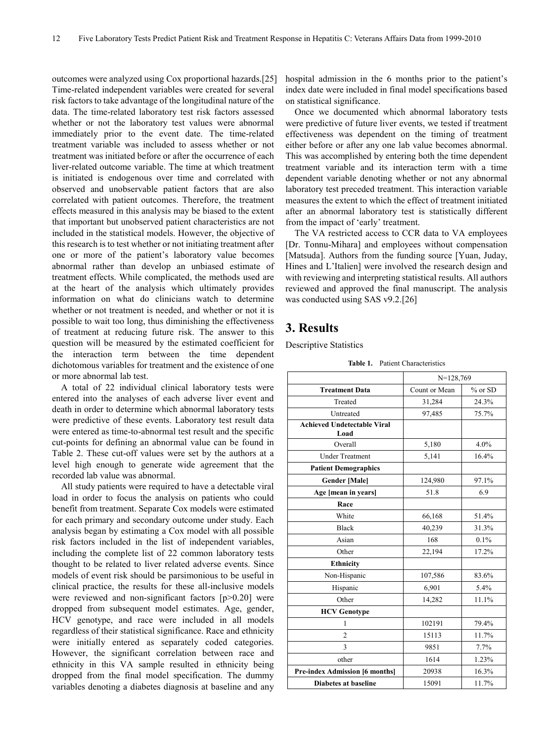outcomes were analyzed using Cox proportional hazards.[25] Time-related independent variables were created for several risk factors to take advantage of the longitudinal nature of the data. The time-related laboratory test risk factors assessed whether or not the laboratory test values were abnormal immediately prior to the event date. The time-related treatment variable was included to assess whether or not treatment was initiated before or after the occurrence of each liver-related outcome variable. The time at which treatment is initiated is endogenous over time and correlated with observed and unobservable patient factors that are also correlated with patient outcomes. Therefore, the treatment effects measured in this analysis may be biased to the extent that important but unobserved patient characteristics are not included in the statistical models. However, the objective of this research is to test whether or not initiating treatment after one or more of the patient's laboratory value becomes abnormal rather than develop an unbiased estimate of treatment effects. While complicated, the methods used are at the heart of the analysis which ultimately provides information on what do clinicians watch to determine whether or not treatment is needed, and whether or not it is possible to wait too long, thus diminishing the effectiveness of treatment at reducing future risk. The answer to this question will be measured by the estimated coefficient for the interaction term between the time dependent dichotomous variables for treatment and the existence of one or more abnormal lab test.

A total of 22 individual clinical laboratory tests were entered into the analyses of each adverse liver event and death in order to determine which abnormal laboratory tests were predictive of these events. Laboratory test result data were entered as time-to-abnormal test result and the specific cut-points for defining an abnormal value can be found in Table 2. These cut-off values were set by the authors at a level high enough to generate wide agreement that the recorded lab value was abnormal.

All study patients were required to have a detectable viral load in order to focus the analysis on patients who could benefit from treatment. Separate Cox models were estimated for each primary and secondary outcome under study. Each analysis began by estimating a Cox model with all possible risk factors included in the list of independent variables, including the complete list of 22 common laboratory tests thought to be related to liver related adverse events. Since models of event risk should be parsimonious to be useful in clinical practice, the results for these all-inclusive models were reviewed and non-significant factors [p>0.20] were dropped from subsequent model estimates. Age, gender, HCV genotype, and race were included in all models regardless of their statistical significance. Race and ethnicity were initially entered as separately coded categories. However, the significant correlation between race and ethnicity in this VA sample resulted in ethnicity being dropped from the final model specification. The dummy variables denoting a diabetes diagnosis at baseline and any hospital admission in the 6 months prior to the patient's index date were included in final model specifications based on statistical significance.

Once we documented which abnormal laboratory tests were predictive of future liver events, we tested if treatment effectiveness was dependent on the timing of treatment either before or after any one lab value becomes abnormal. This was accomplished by entering both the time dependent treatment variable and its interaction term with a time dependent variable denoting whether or not any abnormal laboratory test preceded treatment. This interaction variable measures the extent to which the effect of treatment initiated after an abnormal laboratory test is statistically different from the impact of 'early' treatment.

The VA restricted access to CCR data to VA employees [Dr. Tonnu-Mihara] and employees without compensation [Matsuda]. Authors from the funding source [Yuan, Juday, Hines and L'Italien] were involved the research design and with reviewing and interpreting statistical results. All authors reviewed and approved the final manuscript. The analysis was conducted using SAS v9.2.[26]

## **3. Results**

Descriptive Statistics

**Table 1.** Patient Characteristics

|                                            | $N=128,769$   |         |
|--------------------------------------------|---------------|---------|
| <b>Treatment Data</b>                      | Count or Mean | % or SD |
| Treated                                    | 31,284        | 24.3%   |
| Untreated                                  | 97,485        | 75.7%   |
| <b>Achieved Undetectable Viral</b><br>Load |               |         |
| Overall                                    | 5,180         | 4.0%    |
| <b>Under Treatment</b>                     | 5,141         | 16.4%   |
| <b>Patient Demographics</b>                |               |         |
| <b>Gender [Male]</b>                       | 124,980       | 97.1%   |
| Age [mean in years]                        | 51.8          | 6.9     |
| Race                                       |               |         |
| White                                      | 66,168        | 51.4%   |
| <b>Black</b>                               | 40,239        | 31.3%   |
| Asian                                      | 168           | 0.1%    |
| Other                                      | 22,194        | 17.2%   |
| <b>Ethnicity</b>                           |               |         |
| Non-Hispanic                               | 107,586       | 83.6%   |
| Hispanic                                   | 6,901         | 5.4%    |
| Other                                      | 14,282        | 11.1%   |
| <b>HCV</b> Genotype                        |               |         |
| 1                                          | 102191        | 79.4%   |
| $\overline{2}$                             | 15113         | 11.7%   |
| 3                                          | 9851          | 7.7%    |
| other                                      | 1614          | 1.23%   |
| <b>Pre-index Admission [6 months]</b>      | 20938         | 16.3%   |
| <b>Diabetes at baseline</b>                | 15091         | 11.7%   |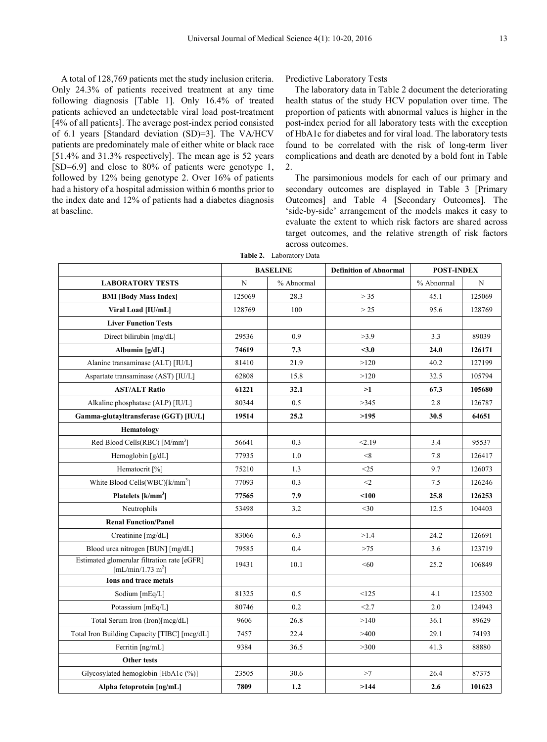A total of 128,769 patients met the study inclusion criteria. Only 24.3% of patients received treatment at any time following diagnosis [Table 1]. Only 16.4% of treated patients achieved an undetectable viral load post-treatment [4% of all patients]. The average post-index period consisted of 6.1 years [Standard deviation (SD)=3]. The VA/HCV patients are predominately male of either white or black race [51.4% and 31.3% respectively]. The mean age is 52 years [SD=6.9] and close to 80% of patients were genotype 1, followed by 12% being genotype 2. Over 16% of patients had a history of a hospital admission within 6 months prior to the index date and 12% of patients had a diabetes diagnosis at baseline.

Predictive Laboratory Tests

The laboratory data in Table 2 document the deteriorating health status of the study HCV population over time. The proportion of patients with abnormal values is higher in the post-index period for all laboratory tests with the exception of HbA1c for diabetes and for viral load. The laboratory tests found to be correlated with the risk of long-term liver complications and death are denoted by a bold font in Table 2.

The parsimonious models for each of our primary and secondary outcomes are displayed in Table 3 [Primary Outcomes] and Table 4 [Secondary Outcomes]. The 'side-by-side' arrangement of the models makes it easy to evaluate the extent to which risk factors are shared across target outcomes, and the relative strength of risk factors across outcomes.

| Table 2. | Laboratory Data |
|----------|-----------------|
|----------|-----------------|

|                                                                              | <b>BASELINE</b> |            | <b>Definition of Abnormal</b> | <b>POST-INDEX</b> |        |
|------------------------------------------------------------------------------|-----------------|------------|-------------------------------|-------------------|--------|
| <b>LABORATORY TESTS</b>                                                      | N               | % Abnormal |                               | % Abnormal        | N      |
| <b>BMI [Body Mass Index]</b>                                                 | 125069          | 28.3       | > 35                          | 45.1              | 125069 |
| Viral Load [IU/mL]                                                           | 128769          | 100        | >25                           | 95.6              | 128769 |
| <b>Liver Function Tests</b>                                                  |                 |            |                               |                   |        |
| Direct bilirubin [mg/dL]                                                     | 29536           | 0.9        | >3.9                          | 3.3               | 89039  |
| Albumin [g/dL]                                                               | 74619           | 7.3        | $3.0$                         | 24.0              | 126171 |
| Alanine transaminase (ALT) [IU/L]                                            | 81410           | 21.9       | >120                          | 40.2              | 127199 |
| Aspartate transaminase (AST) [IU/L]                                          | 62808           | 15.8       | >120                          | 32.5              | 105794 |
| <b>AST/ALT Ratio</b>                                                         | 61221           | 32.1       | >1                            | 67.3              | 105680 |
| Alkaline phosphatase (ALP) [IU/L]                                            | 80344           | 0.5        | >345                          | 2.8               | 126787 |
| Gamma-glutayltransferase (GGT) [IU/L]                                        | 19514           | 25.2       | >195                          | 30.5              | 64651  |
| Hematology                                                                   |                 |            |                               |                   |        |
| Red Blood Cells(RBC) [M/mm <sup>3</sup> ]                                    | 56641           | 0.3        | < 2.19                        | 3.4               | 95537  |
| Hemoglobin [g/dL]                                                            | 77935           | 1.0        | < 8                           | 7.8               | 126417 |
| Hematocrit [%]                                                               | 75210           | 1.3        | <25                           | 9.7               | 126073 |
| White Blood Cells(WBC)[k/mm <sup>3</sup> ]                                   | 77093           | 0.3        | $<$ 2                         | 7.5               | 126246 |
| Platelets $[k/mm^3]$                                                         | 77565           | 7.9        | < 100                         | 25.8              | 126253 |
| Neutrophils                                                                  | 53498           | 3.2        | $<$ 30                        | 12.5              | 104403 |
| <b>Renal Function/Panel</b>                                                  |                 |            |                               |                   |        |
| Creatinine [mg/dL]                                                           | 83066           | 6.3        | >1.4                          | 24.2              | 126691 |
| Blood urea nitrogen [BUN] [mg/dL]                                            | 79585           | 0.4        | >75                           | 3.6               | 123719 |
| Estimated glomerular filtration rate [eGFR]<br>[mL/min/1.73 m <sup>2</sup> ] | 19431           | 10.1       | < 60                          | 25.2              | 106849 |
| <b>Ions and trace metals</b>                                                 |                 |            |                               |                   |        |
| Sodium [mEq/L]                                                               | 81325           | 0.5        | < 125                         | 4.1               | 125302 |
| Potassium [mEq/L]                                                            | 80746           | 0.2        | 2.7                           | 2.0               | 124943 |
| Total Serum Iron (Iron)[mcg/dL]                                              | 9606            | 26.8       | >140                          | 36.1              | 89629  |
| Total Iron Building Capacity [TIBC] [mcg/dL]                                 | 7457            | 22.4       | >400                          | 29.1              | 74193  |
| Ferritin [ng/mL]                                                             | 9384            | 36.5       | >300                          | 41.3              | 88880  |
| Other tests                                                                  |                 |            |                               |                   |        |
| Glycosylated hemoglobin [HbA1c (%)]                                          | 23505           | 30.6       | >7                            | 26.4              | 87375  |
| Alpha fetoprotein [ng/mL]                                                    | 7809            | 1.2        | >144                          | 2.6               | 101623 |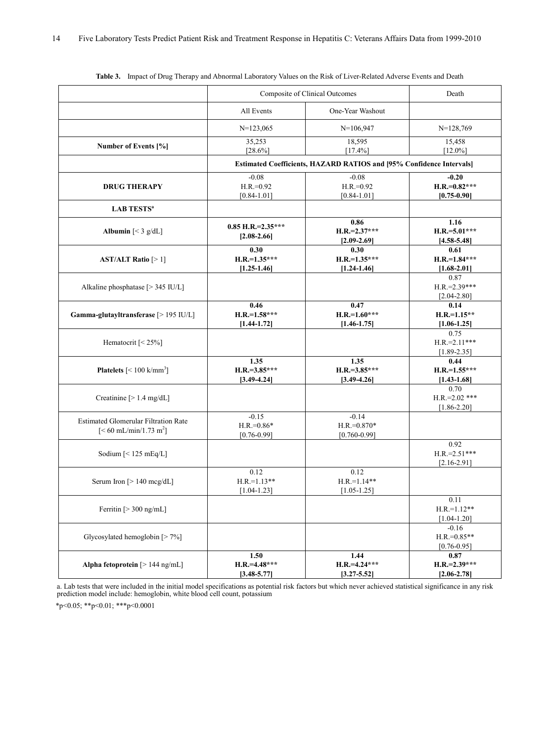|                                                                                         | Composite of Clinical Outcomes             | Death                                                                |                                              |
|-----------------------------------------------------------------------------------------|--------------------------------------------|----------------------------------------------------------------------|----------------------------------------------|
|                                                                                         | All Events                                 | One-Year Washout                                                     |                                              |
|                                                                                         | $N=123,065$                                | $N=106,947$                                                          | $N=128,769$                                  |
| Number of Events [%]                                                                    | 35,253<br>$[28.6\%]$                       | 18,595<br>$[17.4\%]$                                                 | 15,458<br>$[12.0\%]$                         |
|                                                                                         |                                            | Estimated Coefficients, HAZARD RATIOS and [95% Confidence Intervals] |                                              |
| <b>DRUG THERAPY</b>                                                                     | $-0.08$<br>$H.R.=0.92$<br>$[0.84 - 1.01]$  | $-0.08$<br>$H.R.=0.92$<br>$[0.84 - 1.01]$                            | $-0.20$<br>$H.R.=0.82***$<br>$[0.75 - 0.90]$ |
| <b>LAB TESTS<sup>a</sup></b>                                                            |                                            |                                                                      |                                              |
| Albumin $[< 3 \text{ g/dL}]$                                                            | $0.85$ H.R.= $2.35***$<br>$[2.08 - 2.66]$  | 0.86<br>$H.R.=2.37***$<br>$[2.09 - 2.69]$                            | 1.16<br>$H.R.=5.01***$<br>$[4.58 - 5.48]$    |
| AST/ALT Ratio $[>1]$                                                                    | 0.30<br>$H.R.=1.35***$<br>$[1.25 - 1.46]$  | 0.30<br>$H.R.=1.35***$<br>$[1.24 - 1.46]$                            | 0.61<br>$H.R.=1.84***$<br>$[1.68 - 2.01]$    |
| Alkaline phosphatase [> 345 IU/L]                                                       |                                            |                                                                      | 0.87<br>$H.R.=2.39***$<br>$[2.04 - 2.80]$    |
| Gamma-glutayltransferase [> 195 IU/L]                                                   | 0.46<br>$H.R.=1.58***$<br>$[1.44 - 1.72]$  | 0.47<br>$H.R.=1.60***$<br>$[1.46 - 1.75]$                            | 0.14<br>$H.R.=1.15**$<br>$[1.06 - 1.25]$     |
| Hematocrit [< 25%]                                                                      |                                            |                                                                      | 0.75<br>$H.R.=2.11***$<br>$[1.89 - 2.35]$    |
| <b>Platelets</b> $\left[ < 100 \text{ k/mm}^3 \right]$                                  | 1.35<br>$H.R.=3.85***$<br>$[3.49 - 4.24]$  | 1.35<br>$H.R.=3.85***$<br>$[3.49 - 4.26]$                            | 0.44<br>$H.R.=1.55***$<br>$[1.43 - 1.68]$    |
| Creatinine [> 1.4 mg/dL]                                                                |                                            |                                                                      | 0.70<br>$H.R.=2.02$ ***<br>$[1.86 - 2.20]$   |
| <b>Estimated Glomerular Filtration Rate</b><br>$[< 60 \text{ mL/min}/1.73 \text{ m}^2]$ | $-0.15$<br>$H.R.=0.86*$<br>$[0.76 - 0.99]$ | $-0.14$<br>$H.R.=0.870*$<br>$[0.760 - 0.99]$                         |                                              |
| Sodium $[< 125 \text{ mEq/L}]$                                                          |                                            |                                                                      | 0.92<br>$H.R.=2.51***$<br>$[2.16 - 2.91]$    |
| Serum Iron [> 140 mcg/dL]                                                               | 0.12<br>$H.R.=1.13**$<br>$[1.04 - 1.23]$   | 0.12<br>$H.R.=1.14**$<br>$[1.05 - 1.25]$                             |                                              |
| Ferritin $[>300$ ng/mL]                                                                 |                                            |                                                                      | 0.11<br>$H.R.=1.12**$<br>$[1.04 - 1.20]$     |
| Glycosylated hemoglobin [>7%]                                                           |                                            |                                                                      | $-0.16$<br>$H.R.=0.85**$<br>$[0.76 - 0.95]$  |
| Alpha fetoprotein $[>144$ ng/mL]                                                        | 1.50<br>$H.R.=4.48***$<br>$[3.48 - 5.77]$  | 1.44<br>$H.R.=4.24***$<br>$[3.27 - 5.52]$                            | 0.87<br>$H.R.=2.39***$<br>$[2.06 - 2.78]$    |

**Table 3.** Impact of Drug Therapy and Abnormal Laboratory Values on the Risk of Liver-Related Adverse Events and Death

a. Lab tests that were included in the initial model specifications as potential risk factors but which never achieved statistical significance in any risk<br>prediction model include: hemoglobin, white blood cell count, pota

\*p<0.05; \*\*p<0.01; \*\*\*p<0.0001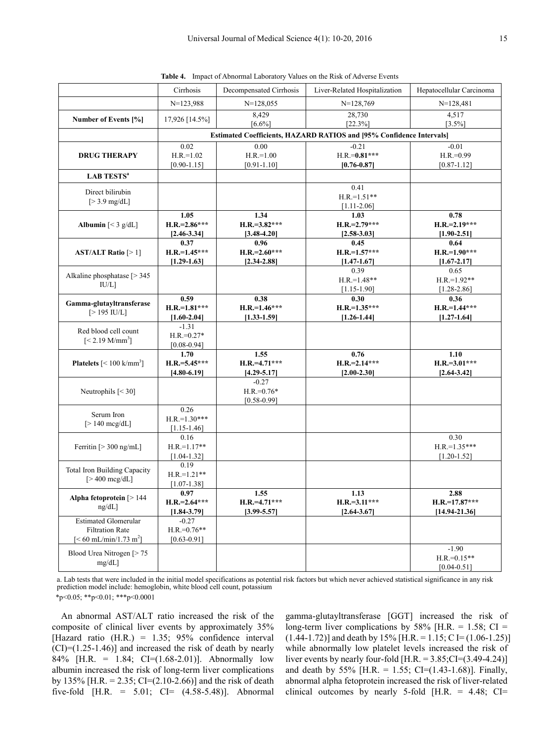|  | <b>Table 4.</b> Impact of Abnormal Laboratory Values on the Risk of Adverse Events |
|--|------------------------------------------------------------------------------------|
|  |                                                                                    |

|                                                                                                 | Cirrhosis                                                            | Decompensated Cirrhosis                    | Liver-Related Hospitalization                | Hepatocellular Carcinoma                     |  |
|-------------------------------------------------------------------------------------------------|----------------------------------------------------------------------|--------------------------------------------|----------------------------------------------|----------------------------------------------|--|
|                                                                                                 | $N=123,988$                                                          | $N=128,055$                                | $N=128,769$                                  | $N=128,481$                                  |  |
| Number of Events [%]                                                                            | 17,926 [14.5%]                                                       | 8,429<br>$[6.6\%]$                         | 28,730<br>[22.3%]                            | 4,517<br>$[3.5\%]$                           |  |
|                                                                                                 | Estimated Coefficients, HAZARD RATIOS and [95% Confidence Intervals] |                                            |                                              |                                              |  |
| <b>DRUG THERAPY</b>                                                                             | 0.02<br>$H.R.=1.02$<br>$[0.90 - 1.15]$                               | 0.00<br>$H.R.=1.00$<br>$[0.91 - 1.10]$     | $-0.21$<br>$H.R.=0.81***$<br>$[0.76 - 0.87]$ | $-0.01$<br>$H.R.=0.99$<br>$[0.87 - 1.12]$    |  |
| <b>LAB TESTS<sup>a</sup></b>                                                                    |                                                                      |                                            |                                              |                                              |  |
| Direct bilirubin<br>$[>3.9 \text{ mg/dL}]$                                                      |                                                                      |                                            | 0.41<br>$H.R.=1.51**$<br>$[1.11 - 2.06]$     |                                              |  |
| Albumin $[< 3 \text{ g/dL}]$                                                                    | 1.05<br>$H.R.=2.86***$<br>$[2.46 - 3.34]$                            | 1.34<br>$H.R.=3.82***$<br>$[3.48 - 4.20]$  | 1.03<br>$H.R.=2.79***$<br>$[2.58 - 3.03]$    | 0.78<br>$H.R.=2.19***$<br>$[1.90 - 2.51]$    |  |
| AST/ALT Ratio $[>1]$                                                                            | 0.37<br>$H.R.=1.45***$<br>$[1.29 - 1.63]$                            | 0.96<br>$H.R.=2.60***$<br>$[2.34 - 2.88]$  | 0.45<br>$H.R.=1.57***$<br>$[1.47 - 1.67]$    | 0.64<br>$H.R.=1.90***$<br>$[1.67 - 2.17]$    |  |
| Alkaline phosphatase [> 345<br>IU/L]                                                            |                                                                      |                                            | 0.39<br>$H.R.=1.48**$<br>$[1.15 - 1.90]$     | 0.65<br>$H.R.=1.92**$<br>$[1.28 - 2.86]$     |  |
| Gamma-glutayltransferase<br>$[>195$ IU/L]                                                       | 0.59<br>$H.R.=1.81***$<br>$[1.60 - 2.04]$                            | 0.38<br>$H.R.=1.46***$<br>$[1.33 - 1.59]$  | 0.30<br>$H.R.=1.35***$<br>$[1.26 - 1.44]$    | 0.36<br>$H.R.=1.44***$<br>$[1.27 - 1.64]$    |  |
| Red blood cell count<br>$[< 2.19$ M/mm <sup>3</sup> ]                                           | $-1.31$<br>$H.R.=0.27*$<br>$[0.08 - 0.94]$                           |                                            |                                              |                                              |  |
| <b>Platelets</b> $\left[<100 \text{ k/mm}^3\right]$                                             | 1.70<br>$H.R.=5.45***$<br>$[4.80 - 6.19]$                            | 1.55<br>$H.R.=4.71***$<br>$[4.29 - 5.17]$  | 0.76<br>$H.R.=2.14***$<br>$[2.00 - 2.30]$    | 1.10<br>$H.R.=3.01***$<br>$[2.64 - 3.42]$    |  |
| Neutrophils $[< 30]$                                                                            |                                                                      | $-0.27$<br>$H.R.=0.76*$<br>$[0.58 - 0.99]$ |                                              |                                              |  |
| Serum Iron<br>$[>140 \text{ mcg/dL}]$                                                           | 0.26<br>$H.R.=1.30***$<br>$[1.15 - 1.46]$                            |                                            |                                              |                                              |  |
| Ferritin $[>300$ ng/mL]                                                                         | 0.16<br>$H.R.=1.17**$<br>$[1.04 - 1.32]$                             |                                            |                                              | 0.30<br>$H.R.=1.35***$<br>$[1.20 - 1.52]$    |  |
| <b>Total Iron Building Capacity</b><br>$> 400 \text{ meg/dL}$                                   | 0.19<br>$H.R.=1.21**$<br>$[1.07 - 1.38]$                             |                                            |                                              |                                              |  |
| Alpha fetoprotein [> 144<br>$ng/dL$ ]                                                           | 0.97<br>$H.R.=2.64***$<br>$[1.84 - 3.79]$                            | 1.55<br>$H.R.=4.71***$<br>$[3.99 - 5.57]$  | 1.13<br>$H.R.=3.11***$<br>$[2.64 - 3.67]$    | 2.88<br>$H.R.=17.87***$<br>$[14.94 - 21.36]$ |  |
| <b>Estimated Glomerular</b><br><b>Filtration Rate</b><br>$\leq 60$ mL/min/1.73 m <sup>2</sup> ] | $-0.27$<br>$H.R.=0.76**$<br>$[0.63 - 0.91]$                          |                                            |                                              |                                              |  |
| Blood Urea Nitrogen [> 75<br>mg/dL]                                                             |                                                                      |                                            |                                              | $-1.90$<br>$H.R.=0.15**$<br>$[0.04 - 0.51]$  |  |

a. Lab tests that were included in the initial model specifications as potential risk factors but which never achieved statistical significance in any risk prediction model include: hemoglobin, white blood cell count, potassium \*p<0.05; \*\*p<0.01; \*\*\*p<0.0001

An abnormal AST/ALT ratio increased the risk of the composite of clinical liver events by approximately 35% [Hazard ratio (H.R.) = 1.35; 95% confidence interval  $(CI) = (1.25-1.46)$ ] and increased the risk of death by nearly 84% [H.R. = 1.84; CI= $(1.68-2.01)$ ]. Abnormally low albumin increased the risk of long-term liver complications by 135% [H.R. = 2.35; CI= $(2.10-2.66)$ ] and the risk of death five-fold [H.R. =  $5.01$ ; CI=  $(4.58-5.48)$ ]. Abnormal

gamma-glutayltransferase [GGT] increased the risk of long-term liver complications by 58% [H.R. = 1.58;  $CI =$  $(1.44-1.72)$ ] and death by 15% [H.R. = 1.15; C I=  $(1.06-1.25)$ ] while abnormally low platelet levels increased the risk of liver events by nearly four-fold  $[H.R. = 3.85; CI = (3.49-4.24)]$ and death by 55% [H.R. = 1.55; CI=(1.43-1.68)]. Finally, abnormal alpha fetoprotein increased the risk of liver-related clinical outcomes by nearly 5-fold [H.R.  $=$  4.48; CI=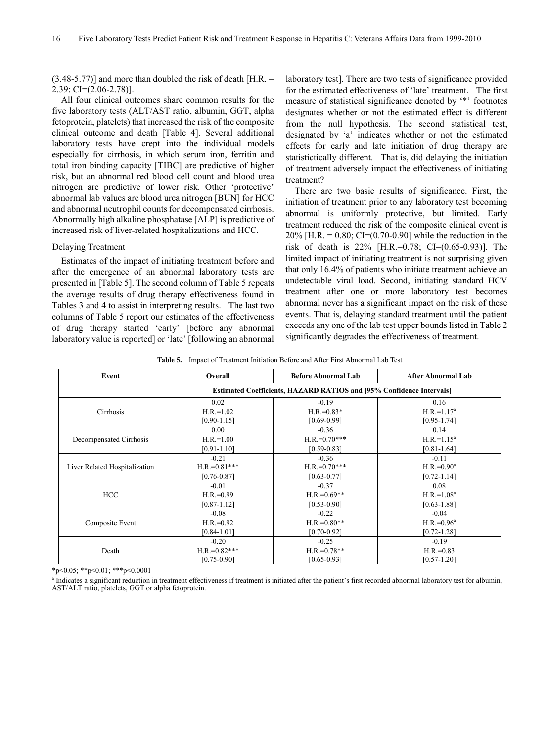$(3.48-5.77)$ ] and more than doubled the risk of death [H.R. = 2.39; CI=(2.06-2.78)].

All four clinical outcomes share common results for the five laboratory tests (ALT/AST ratio, albumin, GGT, alpha fetoprotein, platelets) that increased the risk of the composite clinical outcome and death [Table 4]. Several additional laboratory tests have crept into the individual models especially for cirrhosis, in which serum iron, ferritin and total iron binding capacity [TIBC] are predictive of higher risk, but an abnormal red blood cell count and blood urea nitrogen are predictive of lower risk. Other 'protective' abnormal lab values are blood urea nitrogen [BUN] for HCC and abnormal neutrophil counts for decompensated cirrhosis. Abnormally high alkaline phosphatase [ALP] is predictive of increased risk of liver-related hospitalizations and HCC.

#### Delaying Treatment

Estimates of the impact of initiating treatment before and after the emergence of an abnormal laboratory tests are presented in [Table 5]. The second column of Table 5 repeats the average results of drug therapy effectiveness found in Tables 3 and 4 to assist in interpreting results. The last two columns of Table 5 report our estimates of the effectiveness of drug therapy started 'early' [before any abnormal laboratory value is reported] or 'late' [following an abnormal

laboratory test]. There are two tests of significance provided for the estimated effectiveness of 'late' treatment. The first measure of statistical significance denoted by '\*' footnotes designates whether or not the estimated effect is different from the null hypothesis. The second statistical test, designated by 'a' indicates whether or not the estimated effects for early and late initiation of drug therapy are statistictically different. That is, did delaying the initiation of treatment adversely impact the effectiveness of initiating treatment?

There are two basic results of significance. First, the initiation of treatment prior to any laboratory test becoming abnormal is uniformly protective, but limited. Early treatment reduced the risk of the composite clinical event is 20% [H.R. = 0.80; CI= $(0.70-0.90)$ ] while the reduction in the risk of death is 22% [H.R.=0.78; CI=(0.65-0.93)]. The limited impact of initiating treatment is not surprising given that only 16.4% of patients who initiate treatment achieve an undetectable viral load. Second, initiating standard HCV treatment after one or more laboratory test becomes abnormal never has a significant impact on the risk of these events. That is, delaying standard treatment until the patient exceeds any one of the lab test upper bounds listed in Table 2 significantly degrades the effectiveness of treatment.

**Table 5.** Impact of Treatment Initiation Before and After First Abnormal Lab Test

| Event                         | Overall                                                                     | <b>Before Abnormal Lab</b> | <b>After Abnormal Lab</b> |  |
|-------------------------------|-----------------------------------------------------------------------------|----------------------------|---------------------------|--|
|                               | <b>Estimated Coefficients, HAZARD RATIOS and [95% Confidence Intervals]</b> |                            |                           |  |
|                               | 0.02                                                                        | $-0.19$                    | 0.16                      |  |
| Cirrhosis                     | $H.R.=1.02$                                                                 | $H.R.=0.83*$               | $H.R.=1.17a$              |  |
|                               | $[0.90 - 1.15]$                                                             | $[0.69 - 0.99]$            | $[0.95 - 1.74]$           |  |
|                               | 0.00                                                                        | $-0.36$                    | 0.14                      |  |
| Decompensated Cirrhosis       | $H.R.=1.00$                                                                 | $H.R.=0.70***$             | $H.R.=1.15a$              |  |
|                               | $[0.91 - 1.10]$                                                             | $[0.59 - 0.83]$            | $[0.81 - 1.64]$           |  |
| Liver Related Hospitalization | $-0.21$                                                                     | $-0.36$                    | $-0.11$                   |  |
|                               | $H.R.=0.81***$                                                              | $H.R.=0.70***$             | $H.R.=0.90^a$             |  |
|                               | $[0.76 - 0.87]$                                                             | $[0.63 - 0.77]$            | $[0.72 - 1.14]$           |  |
| HCC                           | $-0.01$                                                                     | $-0.37$                    | 0.08                      |  |
|                               | $H.R.=0.99$                                                                 | $H.R.=0.69**$              | $H.R.=1.08a$              |  |
|                               | $[0.87 - 1.12]$                                                             | $[0.53 - 0.90]$            | $[0.63 - 1.88]$           |  |
| Composite Event               | $-0.08$                                                                     | $-0.22$                    | $-0.04$                   |  |
|                               | $H.R.=0.92$                                                                 | $H.R.=0.80**$              | $H.R.=0.96^a$             |  |
|                               | $[0.84 - 1.01]$                                                             | $[0.70 - 0.92]$            | $[0.72 - 1.28]$           |  |
| Death                         | $-0.20$                                                                     | $-0.25$                    | $-0.19$                   |  |
|                               | $H.R.=0.82***$                                                              | $H.R.=0.78**$              | $H.R.=0.83$               |  |
|                               | $[0.75 - 0.90]$                                                             | $[0.65 - 0.93]$            | $[0.57 - 1.20]$           |  |

\*p<0.05; \*\*p<0.01; \*\*\*p<0.0001

<sup>a</sup> Indicates a significant reduction in treatment effectiveness if treatment is initiated after the patient's first recorded abnormal laboratory test for albumin, AST/ALT ratio, platelets, GGT or alpha fetoprotein.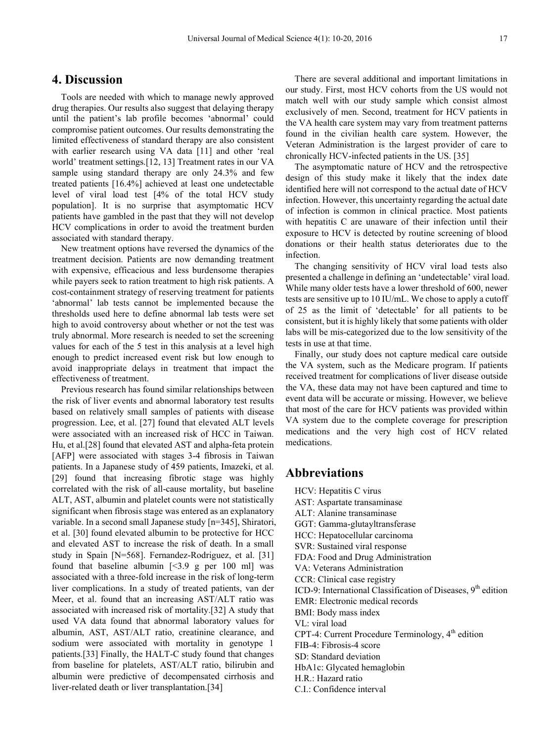## **4. Discussion**

Tools are needed with which to manage newly approved drug therapies. Our results also suggest that delaying therapy until the patient's lab profile becomes 'abnormal' could compromise patient outcomes. Our results demonstrating the limited effectiveness of standard therapy are also consistent with earlier research using VA data [11] and other 'real world' treatment settings.[12, 13] Treatment rates in our VA sample using standard therapy are only 24.3% and few treated patients [16.4%] achieved at least one undetectable level of viral load test [4% of the total HCV study population]. It is no surprise that asymptomatic HCV patients have gambled in the past that they will not develop HCV complications in order to avoid the treatment burden associated with standard therapy.

New treatment options have reversed the dynamics of the treatment decision. Patients are now demanding treatment with expensive, efficacious and less burdensome therapies while payers seek to ration treatment to high risk patients. A cost-containment strategy of reserving treatment for patients 'abnormal' lab tests cannot be implemented because the thresholds used here to define abnormal lab tests were set high to avoid controversy about whether or not the test was truly abnormal. More research is needed to set the screening values for each of the 5 test in this analysis at a level high enough to predict increased event risk but low enough to avoid inappropriate delays in treatment that impact the effectiveness of treatment.

Previous research has found similar relationships between the risk of liver events and abnormal laboratory test results based on relatively small samples of patients with disease progression. Lee, et al. [27] found that elevated ALT levels were associated with an increased risk of HCC in Taiwan. Hu, et al.[28] found that elevated AST and alpha-feta protein [AFP] were associated with stages 3-4 fibrosis in Taiwan patients. In a Japanese study of 459 patients, Imazeki, et al. [29] found that increasing fibrotic stage was highly correlated with the risk of all-cause mortality, but baseline ALT, AST, albumin and platelet counts were not statistically significant when fibrosis stage was entered as an explanatory variable. In a second small Japanese study [n=345], Shiratori, et al. [30] found elevated albumin to be protective for HCC and elevated AST to increase the risk of death. In a small study in Spain [N=568]. Fernandez-Rodriguez, et al. [31] found that baseline albumin  $\lceil$ <3.9 g per 100 ml was associated with a three-fold increase in the risk of long-term liver complications. In a study of treated patients, van der Meer, et al. found that an increasing AST/ALT ratio was associated with increased risk of mortality.[32] A study that used VA data found that abnormal laboratory values for albumin, AST, AST/ALT ratio, creatinine clearance, and sodium were associated with mortality in genotype 1 patients.[33] Finally, the HALT-C study found that changes from baseline for platelets, AST/ALT ratio, bilirubin and albumin were predictive of decompensated cirrhosis and liver-related death or liver transplantation.[34]

There are several additional and important limitations in our study. First, most HCV cohorts from the US would not match well with our study sample which consist almost exclusively of men. Second, treatment for HCV patients in the VA health care system may vary from treatment patterns found in the civilian health care system. However, the Veteran Administration is the largest provider of care to chronically HCV-infected patients in the US. [35]

The asymptomatic nature of HCV and the retrospective design of this study make it likely that the index date identified here will not correspond to the actual date of HCV infection. However, this uncertainty regarding the actual date of infection is common in clinical practice. Most patients with hepatitis C are unaware of their infection until their exposure to HCV is detected by routine screening of blood donations or their health status deteriorates due to the infection.

The changing sensitivity of HCV viral load tests also presented a challenge in defining an 'undetectable' viral load. While many older tests have a lower threshold of 600, newer tests are sensitive up to 10 IU/mL. We chose to apply a cutoff of 25 as the limit of 'detectable' for all patients to be consistent, but it is highly likely that some patients with older labs will be mis-categorized due to the low sensitivity of the tests in use at that time.

Finally, our study does not capture medical care outside the VA system, such as the Medicare program. If patients received treatment for complications of liver disease outside the VA, these data may not have been captured and time to event data will be accurate or missing. However, we believe that most of the care for HCV patients was provided within VA system due to the complete coverage for prescription medications and the very high cost of HCV related medications.

## **Abbreviations**

HCV: Hepatitis C virus AST: Aspartate transaminase ALT: Alanine transaminase GGT: Gamma-glutayltransferase HCC: Hepatocellular carcinoma SVR: Sustained viral response FDA: Food and Drug Administration VA: Veterans Administration CCR: Clinical case registry ICD-9: International Classification of Diseases, 9<sup>th</sup> edition EMR: Electronic medical records BMI: Body mass index VL: viral load  $CPT-4$ : Current Procedure Terminology,  $4<sup>th</sup>$  edition FIB-4: Fibrosis-4 score SD: Standard deviation HbA1c: Glycated hemaglobin H.R.: Hazard ratio C.I.: Confidence interval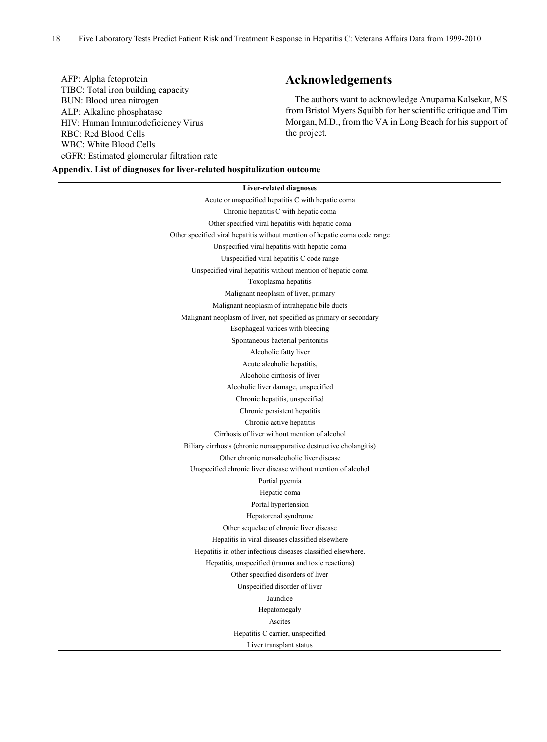### AFP: Alpha fetoprotein TIBC: Total iron building capacity BUN: Blood urea nitrogen ALP: Alkaline phosphatase HIV: Human Immunodeficiency Virus RBC: Red Blood Cells WBC: White Blood Cells eGFR: Estimated glomerular filtration rate

## **Acknowledgements**

The authors want to acknowledge Anupama Kalsekar, MS from Bristol Myers Squibb for her scientific critique and Tim Morgan, M.D., from the VA in Long Beach for his support of the project.

**Appendix. List of diagnoses for liver-related hospitalization outcome**

## **Liver-related diagnoses** Acute or unspecified hepatitis C with hepatic coma Chronic hepatitis C with hepatic coma Other specified viral hepatitis with hepatic coma Other specified viral hepatitis without mention of hepatic coma code range Unspecified viral hepatitis with hepatic coma Unspecified viral hepatitis C code range Unspecified viral hepatitis without mention of hepatic coma Toxoplasma hepatitis Malignant neoplasm of liver, primary Malignant neoplasm of intrahepatic bile ducts Malignant neoplasm of liver, not specified as primary or secondary Esophageal varices with bleeding Spontaneous bacterial peritonitis Alcoholic fatty liver Acute alcoholic hepatitis, Alcoholic cirrhosis of liver Alcoholic liver damage, unspecified Chronic hepatitis, unspecified Chronic persistent hepatitis Chronic active hepatitis Cirrhosis of liver without mention of alcohol Biliary cirrhosis (chronic nonsuppurative destructive cholangitis) Other chronic non-alcoholic liver disease Unspecified chronic liver disease without mention of alcohol Portial pyemia Hepatic coma Portal hypertension Hepatorenal syndrome Other sequelae of chronic liver disease Hepatitis in viral diseases classified elsewhere Hepatitis in other infectious diseases classified elsewhere. Hepatitis, unspecified (trauma and toxic reactions) Other specified disorders of liver Unspecified disorder of liver Jaundice Hepatomegaly Ascites Hepatitis C carrier, unspecified Liver transplant status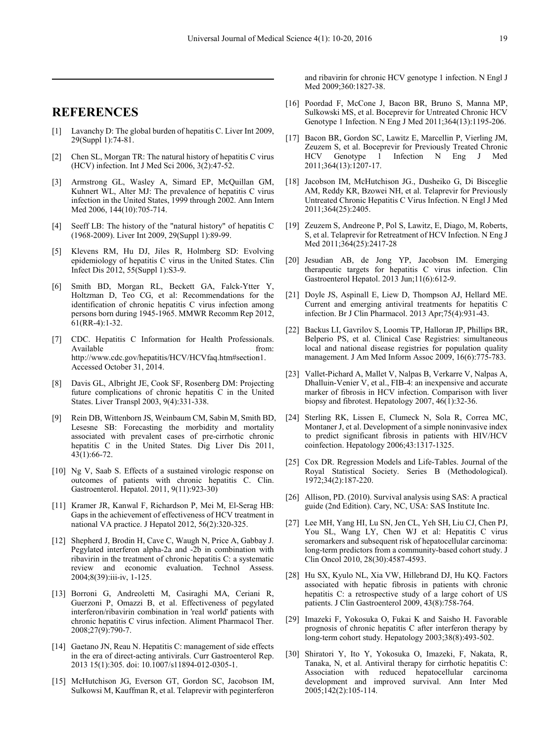## **REFERENCES**

- [1] Lavanchy D: The global burden of hepatitis C. Liver Int 2009, 29(Suppl 1):74-81.
- [2] Chen SL, Morgan TR: The natural history of hepatitis C virus (HCV) infection. Int J Med Sci 2006, 3(2):47-52.
- [3] Armstrong GL, Wasley A, Simard EP, McQuillan GM, Kuhnert WL, Alter MJ: The prevalence of hepatitis C virus infection in the United States, 1999 through 2002. Ann Intern Med 2006, 144(10):705-714.
- [4] Seeff LB: The history of the "natural history" of hepatitis C (1968-2009). Liver Int 2009, 29(Suppl 1):89-99.
- [5] Klevens RM, Hu DJ, Jiles R, Holmberg SD: Evolving epidemiology of hepatitis C virus in the United States. Clin Infect Dis 2012, 55(Suppl 1):S3-9.
- [6] Smith BD, Morgan RL, Beckett GA, Falck-Ytter Y, Holtzman D, Teo CG, et al: Recommendations for the identification of chronic hepatitis C virus infection among persons born during 1945-1965. MMWR Recomm Rep 2012, 61(RR-4):1-32.
- [7] CDC. Hepatitis C Information for Health Professionals. Available from: http://www.cdc.gov/hepatitis/HCV/HCVfaq.htm#section1. Accessed October 31, 2014.
- [8] Davis GL, Albright JE, Cook SF, Rosenberg DM: Projecting future complications of chronic hepatitis C in the United States. Liver Transpl 2003, 9(4):331-338.
- [9] Rein DB, Wittenborn JS, Weinbaum CM, Sabin M, Smith BD, Lesesne SB: Forecasting the morbidity and mortality associated with prevalent cases of pre-cirrhotic chronic hepatitis C in the United States. Dig Liver Dis 2011, 43(1):66-72.
- [10] Ng V, Saab S. Effects of a sustained virologic response on outcomes of patients with chronic hepatitis C. Clin. Gastroenterol. Hepatol. 2011, 9(11):923-30)
- [11] Kramer JR, Kanwal F, Richardson P, Mei M, El-Serag HB: Gaps in the achievement of effectiveness of HCV treatment in national VA practice. J Hepatol 2012, 56(2):320-325.
- [12] Shepherd J, Brodin H, Cave C, Waugh N, Price A, Gabbay J. Pegylated interferon alpha-2a and -2b in combination with ribavirin in the treatment of chronic hepatitis C: a systematic review and economic evaluation. Technol Assess. 2004;8(39):iii-iv, 1-125.
- [13] Borroni G, Andreoletti M, Casiraghi MA, Ceriani R, Guerzoni P, Omazzi B, et al. Effectiveness of pegylated interferon/ribavirin combination in 'real world' patients with chronic hepatitis C virus infection. Aliment Pharmacol Ther. 2008;27(9):790-7.
- [14] Gaetano JN, Reau N. Hepatitis C: management of side effects in the era of direct-acting antivirals. Curr Gastroenterol Rep. 2013 15(1):305. doi: 10.1007/s11894-012-0305-1.
- [15] McHutchison JG, Everson GT, Gordon SC, Jacobson IM, Sulkowsi M, Kauffman R, et al. Telaprevir with peginterferon

and ribavirin for chronic HCV genotype 1 infection. N Engl J Med 2009;360:1827-38.

- [16] Poordad F, McCone J, Bacon BR, Bruno S, Manna MP, Sulkowski MS, et al. Boceprevir for Untreated Chronic HCV Genotype 1 Infection. N Eng J Med 2011;364(13):1195-206.
- [17] Bacon BR, Gordon SC, Lawitz E, Marcellin P, Vierling JM, Zeuzem S, et al. Boceprevir for Previously Treated Chronic Infection N Eng J Med 2011;364(13):1207-17.
- [18] Jacobson IM, McHutchison JG., Dusheiko G, Di Bisceglie AM, Reddy KR, Bzowei NH, et al. Telaprevir for Previously Untreated Chronic Hepatitis C Virus Infection. N Engl J Med 2011;364(25):2405.
- [19] Zeuzem S, Andreone P, Pol S, Lawitz, E, Diago, M, Roberts, S, et al. Telaprevir for Retreatment of HCV Infection. N Eng J Med 2011;364(25):2417-28
- [20] Jesudian AB, de Jong YP, Jacobson IM. Emerging therapeutic targets for hepatitis C virus infection. Clin Gastroenterol Hepatol. 2013 Jun;11(6):612-9.
- [21] Doyle JS, Aspinall E, Liew D, Thompson AJ, Hellard ME. Current and emerging antiviral treatments for hepatitis C infection. Br J Clin Pharmacol. 2013 Apr;75(4):931-43.
- [22] Backus LI, Gavrilov S, Loomis TP, Halloran JP, Phillips BR, Belperio PS, et al. Clinical Case Registries: simultaneous local and national disease registries for population quality management. J Am Med Inform Assoc 2009, 16(6):775-783.
- [23] Vallet-Pichard A, Mallet V, Nalpas B, Verkarre V, Nalpas A, Dhalluin-Venier V, et al., FIB-4: an inexpensive and accurate marker of fibrosis in HCV infection. Comparison with liver biopsy and fibrotest. Hepatology 2007,  $46(1):32-36$ .
- [24] Sterling RK, Lissen E, Clumeck N, Sola R, Correa MC, Montaner J, et al. Development of a simple noninvasive index to predict significant fibrosis in patients with HIV/HCV coinfection. Hepatology 2006;43:1317-1325.
- [25] Cox DR. Regression Models and Life-Tables. Journal of the Royal Statistical Society. Series B (Methodological). 1972;34(2):187-220.
- [26] Allison, PD. (2010). Survival analysis using SAS: A practical guide (2nd Edition). Cary, NC, USA: SAS Institute Inc.
- [27] Lee MH, Yang HI, Lu SN, Jen CL, Yeh SH, Liu CJ, Chen PJ, You SL, Wang LY, Chen WJ et al: Hepatitis C virus seromarkers and subsequent risk of hepatocellular carcinoma: long-term predictors from a community-based cohort study. J Clin Oncol 2010, 28(30):4587-4593.
- [28] Hu SX, Kyulo NL, Xia VW, Hillebrand DJ, Hu KQ. Factors associated with hepatic fibrosis in patients with chronic hepatitis C: a retrospective study of a large cohort of US patients. J Clin Gastroenterol 2009, 43(8):758-764.
- [29] Imazeki F, Yokosuka O, Fukai K and Saisho H. Favorable prognosis of chronic hepatitis C after interferon therapy by long-term cohort study. Hepatology 2003;38(8):493-502.
- [30] Shiratori Y, Ito Y, Yokosuka O, Imazeki, F, Nakata, R, Tanaka, N, et al. Antiviral therapy for cirrhotic hepatitis C: Association with reduced hepatocellular carcinoma development and improved survival. Ann Inter Med 2005;142(2):105-114.